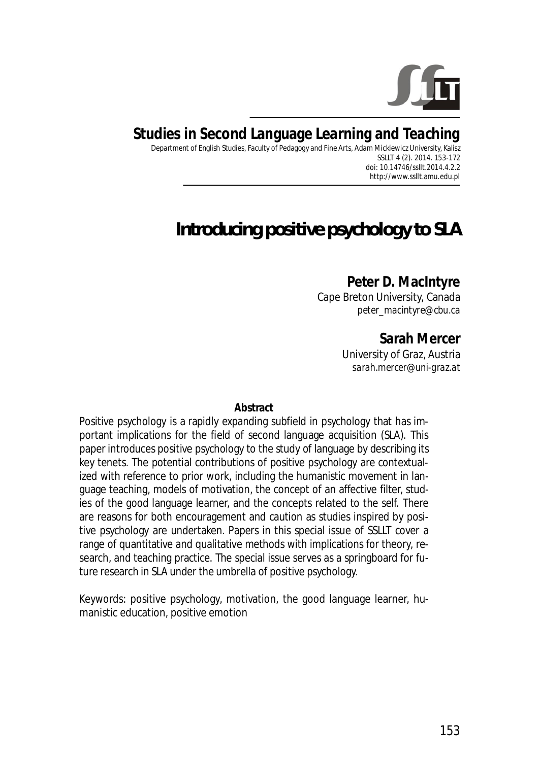

# **Studies in Second Language Learning and Teaching**

Department of English Studies, Faculty of Pedagogy and Fine Arts, Adam Mickiewicz University, Kalisz SSLLT 4 (2). 2014. 153-172 *doi: 10.14746/ssllt.2014.4.2.2*  http://www.ssllt.amu.edu.pl

# *Introducing positive psychology to SLA*

**Peter D. MacIntyre**  Cape Breton University, Canada *peter\_macintyre@cbu.ca* 

> **Sarah Mercer**  University of Graz, Austria *sarah.mercer@uni-graz.at*

#### **Abstract**

Positive psychology is a rapidly expanding subfield in psychology that has important implications for the field of second language acquisition (SLA). This paper introduces positive psychology to the study of language by describing its key tenets. The potential contributions of positive psychology are contextualized with reference to prior work, including the humanistic movement in language teaching, models of motivation, the concept of an affective filter, studies of the good language learner, and the concepts related to the self. There are reasons for both encouragement and caution as studies inspired by positive psychology are undertaken. Papers in this special issue of *SSLLT* cover a range of quantitative and qualitative methods with implications for theory, research, and teaching practice. The special issue serves as a springboard for future research in SLA under the umbrella of positive psychology.

*Keywords*: positive psychology, motivation, the good language learner, humanistic education, positive emotion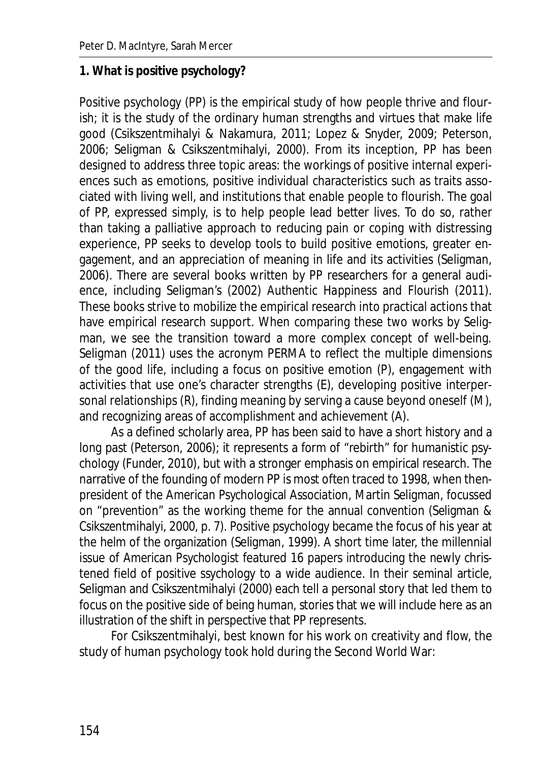#### **1. What is positive psychology?**

Positive psychology (PP) is the empirical study of how people thrive and flourish; it is the study of the ordinary human strengths and virtues that make life good (Csikszentmihalyi & Nakamura, 2011; Lopez & Snyder, 2009; Peterson, 2006; Seligman & Csikszentmihalyi, 2000). From its inception, PP has been designed to address three topic areas: the workings of positive internal experiences such as emotions, positive individual characteristics such as traits associated with living well, and institutions that enable people to flourish. The goal of PP, expressed simply, is to help people lead better lives. To do so, rather than taking a palliative approach to reducing pain or coping with distressing experience, PP seeks to develop tools to build positive emotions, greater engagement, and an appreciation of meaning in life and its activities (Seligman, 2006). There are several books written by PP researchers for a general audience, including Seligman's (2002) *Authentic Happiness* and *Flourish* (2011). These books strive to mobilize the empirical research into practical actions that have empirical research support. When comparing these two works by Seligman, we see the transition toward a more complex concept of well-being. Seligman (2011) uses the acronym PERMA to reflect the multiple dimensions of the good life, including a focus on positive emotion (P), engagement with activities that use one's character strengths (E), developing positive interpersonal relationships (R), finding meaning by serving a cause beyond oneself (M), and recognizing areas of accomplishment and achievement (A).

As a defined scholarly area, PP has been said to have a short history and a long past (Peterson, 2006); it represents a form of "rebirth" for humanistic psychology (Funder, 2010), but with a stronger emphasis on empirical research. The narrative of the founding of modern PP is most often traced to 1998, when thenpresident of the American Psychological Association, Martin Seligman, focussed on "prevention" as the working theme for the annual convention (Seligman & Csikszentmihalyi, 2000, p. 7). Positive psychology became the focus of his year at the helm of the organization (Seligman, 1999). A short time later, the millennial issue of *American Psychologist* featured 16 papers introducing the newly christened field of positive ssychology to a wide audience. In their seminal article, Seligman and Csikszentmihalyi (2000) each tell a personal story that led them to focus on the positive side of being human, stories that we will include here as an illustration of the shift in perspective that PP represents.

For Csikszentmihalyi, best known for his work on creativity and flow, the study of human psychology took hold during the Second World War: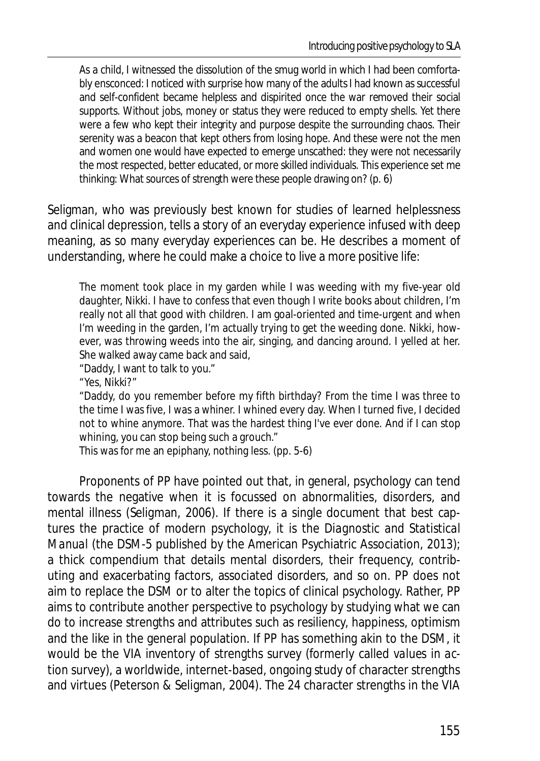As a child, I witnessed the dissolution of the smug world in which I had been comfortably ensconced: I noticed with surprise how many of the adults I had known as successful and self-confident became helpless and dispirited once the war removed their social supports. Without jobs, money or status they were reduced to empty shells. Yet there were a few who kept their integrity and purpose despite the surrounding chaos. Their serenity was a beacon that kept others from losing hope. And these were not the men and women one would have expected to emerge unscathed: they were not necessarily the most respected, better educated, or more skilled individuals. This experience set me thinking: What sources of strength were these people drawing on? (p. 6)

Seligman, who was previously best known for studies of learned helplessness and clinical depression, tells a story of an everyday experience infused with deep meaning, as so many everyday experiences can be. He describes a moment of understanding, where he could make a choice to live a more positive life:

The moment took place in my garden while I was weeding with my five-year old daughter, Nikki. I have to confess that even though I write books about children, I'm really not all that good with children. I am goal-oriented and time-urgent and when I'm weeding in the garden, I'm actually trying to get the weeding done. Nikki, however, was throwing weeds into the air, singing, and dancing around. I yelled at her. She walked away came back and said,

"Daddy, I want to talk to you."

"Yes, Nikki?"

"Daddy, do you remember before my fifth birthday? From the time I was three to the time I was five, I was a whiner. I whined every day. When I turned five, I decided not to whine anymore. That was the hardest thing I've ever done. And if I can stop whining, you can stop being such a grouch."

This was for me an epiphany, nothing less. (pp. 5-6)

Proponents of PP have pointed out that, in general, psychology can tend towards the negative when it is focussed on abnormalities, disorders, and mental illness (Seligman, 2006). If there is a single document that best captures the practice of modern psychology, it is the *Diagnostic and Statistical Manual* (the DSM-5 published by the American Psychiatric Association, 2013); a thick compendium that details mental disorders, their frequency, contributing and exacerbating factors, associated disorders, and so on. PP does not aim to replace the DSM or to alter the topics of clinical psychology. Rather, PP aims to contribute another perspective to psychology by studying what we can do to increase strengths and attributes such as resiliency, happiness, optimism and the like in the general population. If PP has something akin to the DSM, it would be the VIA inventory of strengths survey (formerly called *values in action* survey), a worldwide, internet-based, ongoing study of character strengths and virtues (Peterson & Seligman, 2004). The 24 character strengths in the VIA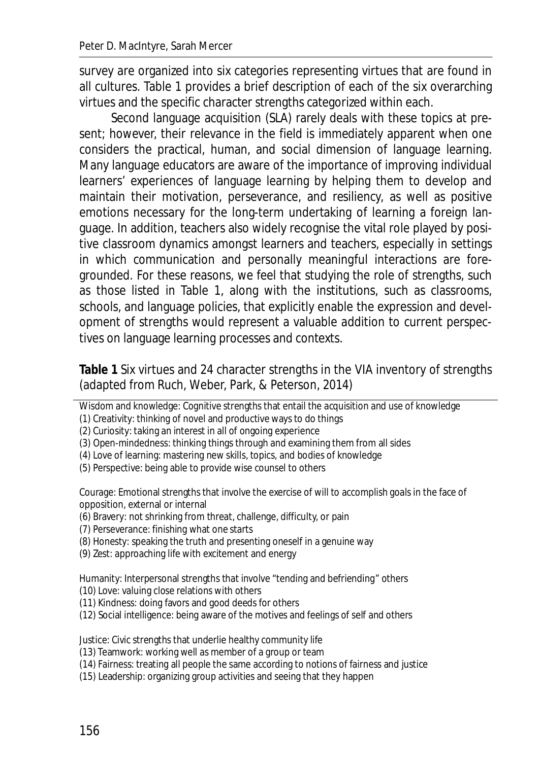survey are organized into six categories representing virtues that are found in all cultures. Table 1 provides a brief description of each of the six overarching virtues and the specific character strengths categorized within each.

Second language acquisition (SLA) rarely deals with these topics at present; however, their relevance in the field is immediately apparent when one considers the practical, human, and social dimension of language learning. Many language educators are aware of the importance of improving individual learners' experiences of language learning by helping them to develop and maintain their motivation, perseverance, and resiliency, as well as positive emotions necessary for the long-term undertaking of learning a foreign language. In addition, teachers also widely recognise the vital role played by positive classroom dynamics amongst learners and teachers, especially in settings in which communication and personally meaningful interactions are foregrounded. For these reasons, we feel that studying the role of strengths, such as those listed in Table 1, along with the institutions, such as classrooms, schools, and language policies, that explicitly enable the expression and development of strengths would represent a valuable addition to current perspectives on language learning processes and contexts.

**Table 1** Six virtues and 24 character strengths in the VIA inventory of strengths (adapted from Ruch, Weber, Park, & Peterson, 2014)

Wisdom and knowledge: Cognitive strengths that entail the acquisition and use of knowledge

(1) Creativity: thinking of novel and productive ways to do things

(2) Curiosity: taking an interest in all of ongoing experience

(3) Open-mindedness: thinking things through and examining them from all sides

(4) Love of learning: mastering new skills, topics, and bodies of knowledge

(5) Perspective: being able to provide wise counsel to others

Courage: Emotional strengths that involve the exercise of will to accomplish goals in the face of opposition, external or internal

(6) Bravery: not shrinking from threat, challenge, difficulty, or pain

(7) Perseverance: finishing what one starts

(8) Honesty: speaking the truth and presenting oneself in a genuine way

(9) Zest: approaching life with excitement and energy

Humanity: Interpersonal strengths that involve "tending and befriending" others

(10) Love: valuing close relations with others

(11) Kindness: doing favors and good deeds for others

(12) Social intelligence: being aware of the motives and feelings of self and others

Justice: Civic strengths that underlie healthy community life

(13) Teamwork: working well as member of a group or team

(14) Fairness: treating all people the same according to notions of fairness and justice

(15) Leadership: organizing group activities and seeing that they happen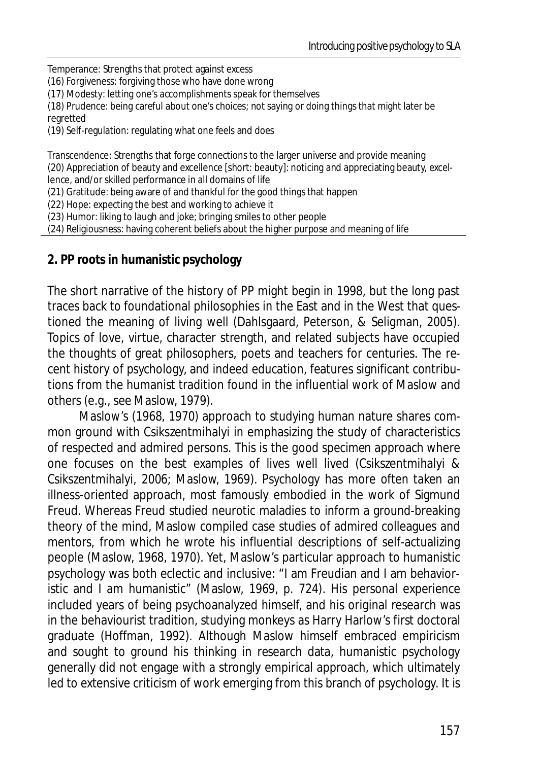Temperance: Strengths that protect against excess

(16) Forgiveness: forgiving those who have done wrong

(17) Modesty: letting one's accomplishments speak for themselves

(18) Prudence: being careful about one's choices; not saying or doing things that might later be regretted

(19) Self-regulation: regulating what one feels and does

Transcendence: Strengths that forge connections to the larger universe and provide meaning (20) Appreciation of beauty and excellence [short: beauty]: noticing and appreciating beauty, excellence, and/or skilled performance in all domains of life

(21) Gratitude: being aware of and thankful for the good things that happen

(22) Hope: expecting the best and working to achieve it

(23) Humor: liking to laugh and joke; bringing smiles to other people

(24) Religiousness: having coherent beliefs about the higher purpose and meaning of life

**2. PP roots in humanistic psychology** 

The short narrative of the history of PP might begin in 1998, but the long past traces back to foundational philosophies in the East and in the West that questioned the meaning of living well (Dahlsgaard, Peterson, & Seligman, 2005). Topics of love, virtue, character strength, and related subjects have occupied the thoughts of great philosophers, poets and teachers for centuries. The recent history of psychology, and indeed education, features significant contributions from the humanist tradition found in the influential work of Maslow and others (e.g., see Maslow, 1979).

Maslow's (1968, 1970) approach to studying human nature shares common ground with Csikszentmihalyi in emphasizing the study of characteristics of respected and admired persons. This is the *good specimen* approach where one focuses on the best examples of lives well lived (Csikszentmihalyi & Csikszentmihalyi, 2006; Maslow, 1969). Psychology has more often taken an illness-oriented approach, most famously embodied in the work of Sigmund Freud. Whereas Freud studied neurotic maladies to inform a ground-breaking theory of the mind, Maslow compiled case studies of admired colleagues and mentors, from which he wrote his influential descriptions of self-actualizing people (Maslow, 1968, 1970). Yet, Maslow's particular approach to humanistic psychology was both eclectic and inclusive: "I am Freudian and I am behavioristic and I am humanistic" (Maslow, 1969, p. 724). His personal experience included years of being psychoanalyzed himself, and his original research was in the behaviourist tradition, studying monkeys as Harry Harlow's first doctoral graduate (Hoffman, 1992). Although Maslow himself embraced empiricism and sought to ground his thinking in research data, humanistic psychology generally did not engage with a strongly empirical approach, which ultimately led to extensive criticism of work emerging from this branch of psychology. It is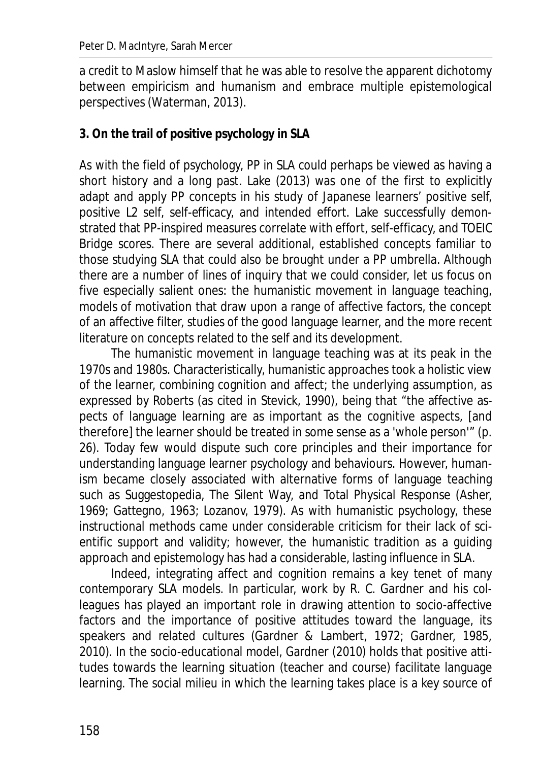a credit to Maslow himself that he was able to resolve the apparent dichotomy between empiricism and humanism and embrace multiple epistemological perspectives (Waterman, 2013).

## **3. On the trail of positive psychology in SLA**

As with the field of psychology, PP in SLA could perhaps be viewed as having a short history and a long past. Lake (2013) was one of the first to explicitly adapt and apply PP concepts in his study of Japanese learners' positive self, positive L2 self, self-efficacy, and intended effort. Lake successfully demonstrated that PP-inspired measures correlate with effort, self-efficacy, and TOEIC Bridge scores. There are several additional, established concepts familiar to those studying SLA that could also be brought under a PP umbrella. Although there are a number of lines of inquiry that we could consider, let us focus on five especially salient ones: the humanistic movement in language teaching, models of motivation that draw upon a range of affective factors, the concept of an affective filter, studies of the good language learner, and the more recent literature on concepts related to the self and its development.

The humanistic movement in language teaching was at its peak in the 1970s and 1980s. Characteristically, humanistic approaches took a holistic view of the learner, combining cognition and affect; the underlying assumption, as expressed by Roberts (as cited in Stevick, 1990), being that "the affective aspects of language learning are as important as the cognitive aspects, [and therefore] the learner should be treated in some sense as a 'whole person'" (p. 26). Today few would dispute such core principles and their importance for understanding language learner psychology and behaviours. However, humanism became closely associated with alternative forms of language teaching such as Suggestopedia, The Silent Way, and Total Physical Response (Asher, 1969; Gattegno, 1963; Lozanov, 1979). As with humanistic psychology, these instructional methods came under considerable criticism for their lack of scientific support and validity; however, the humanistic tradition as a guiding approach and epistemology has had a considerable, lasting influence in SLA.

Indeed, integrating affect and cognition remains a key tenet of many contemporary SLA models. In particular, work by R. C. Gardner and his colleagues has played an important role in drawing attention to socio-affective factors and the importance of positive attitudes toward the language, its speakers and related cultures (Gardner & Lambert, 1972; Gardner, 1985, 2010). In the socio-educational model, Gardner (2010) holds that positive attitudes towards the learning situation (teacher and course) facilitate language learning. The social milieu in which the learning takes place is a key source of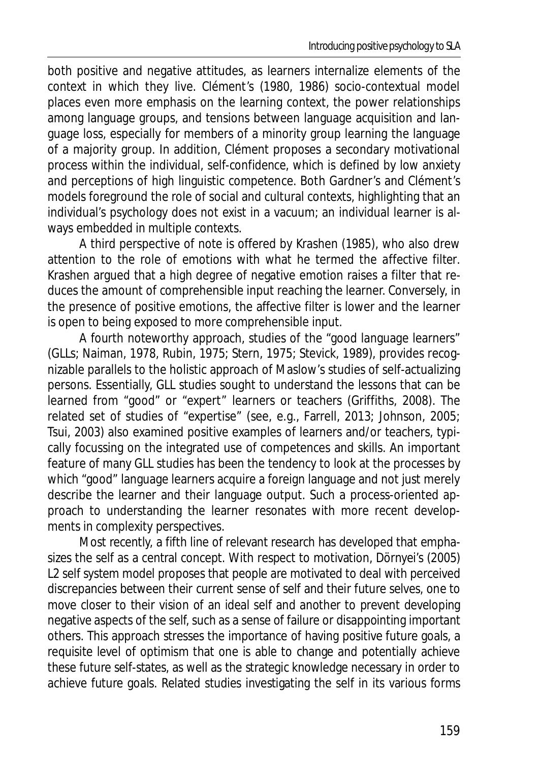both positive and negative attitudes, as learners internalize elements of the context in which they live. Clément's (1980, 1986) socio-contextual model places even more emphasis on the learning context, the power relationships among language groups, and tensions between language acquisition and language loss, especially for members of a minority group learning the language of a majority group. In addition, Clément proposes a secondary motivational process within the individual, *self-confidence*, which is defined by low anxiety and perceptions of high linguistic competence. Both Gardner's and Clément's models foreground the role of social and cultural contexts, highlighting that an individual's psychology does not exist in a vacuum; an individual learner is always embedded in multiple contexts.

A third perspective of note is offered by Krashen (1985), who also drew attention to the role of emotions with what he termed the *affective filter*. Krashen argued that a high degree of negative emotion raises a filter that reduces the amount of comprehensible input reaching the learner. Conversely, in the presence of positive emotions, the affective filter is lower and the learner is open to being exposed to more comprehensible input.

A fourth noteworthy approach, studies of the "good language learners" (GLLs; Naiman, 1978, Rubin, 1975; Stern, 1975; Stevick, 1989), provides recognizable parallels to the holistic approach of Maslow's studies of self-actualizing persons. Essentially, GLL studies sought to understand the lessons that can be learned from "good" or "expert" learners or teachers (Griffiths, 2008). The related set of studies of "expertise" (see, e.g., Farrell, 2013; Johnson, 2005; Tsui, 2003) also examined positive examples of learners and/or teachers, typically focussing on the integrated use of competences and skills. An important feature of many GLL studies has been the tendency to look at the processes by which "good" language learners acquire a foreign language and not just merely describe the learner and their language output. Such a process-oriented approach to understanding the learner resonates with more recent developments in complexity perspectives.

Most recently, a fifth line of relevant research has developed that emphasizes the self as a central concept. With respect to motivation, Dörnyei's (2005) L2 self system model proposes that people are motivated to deal with perceived discrepancies between their current sense of self and their future selves, one to move closer to their vision of an ideal self and another to prevent developing negative aspects of the self, such as a sense of failure or disappointing important others. This approach stresses the importance of having positive future goals, a requisite level of optimism that one is able to change and potentially achieve these future self-states, as well as the strategic knowledge necessary in order to achieve future goals. Related studies investigating the self in its various forms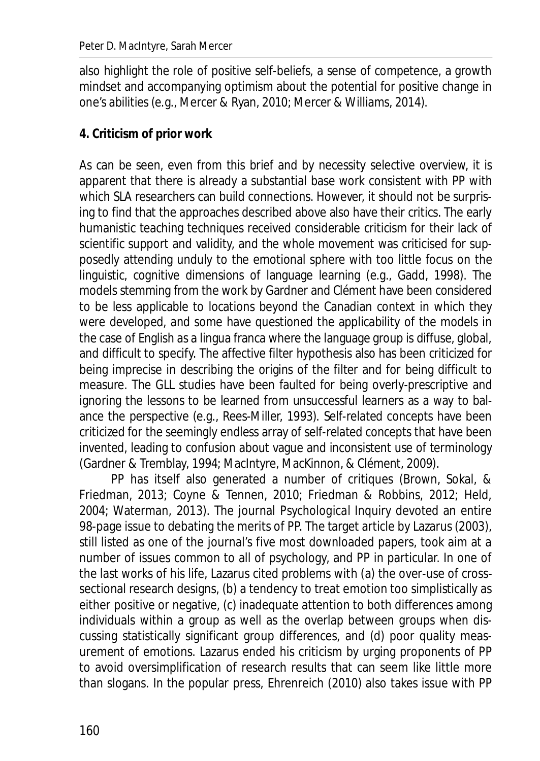also highlight the role of positive self-beliefs, a sense of competence, a growth mindset and accompanying optimism about the potential for positive change in one's abilities (e.g., Mercer & Ryan, 2010; Mercer & Williams, 2014).

## **4. Criticism of prior work**

As can be seen, even from this brief and by necessity selective overview, it is apparent that there is already a substantial base work consistent with PP with which SLA researchers can build connections. However, it should not be surprising to find that the approaches described above also have their critics. The early humanistic teaching techniques received considerable criticism for their lack of scientific support and validity, and the whole movement was criticised for supposedly attending unduly to the emotional sphere with too little focus on the linguistic, cognitive dimensions of language learning (e.g., Gadd, 1998). The models stemming from the work by Gardner and Clément have been considered to be less applicable to locations beyond the Canadian context in which they were developed, and some have questioned the applicability of the models in the case of English as a lingua franca where the language group is diffuse, global, and difficult to specify. The affective filter hypothesis also has been criticized for being imprecise in describing the origins of the filter and for being difficult to measure. The GLL studies have been faulted for being overly-prescriptive and ignoring the lessons to be learned from unsuccessful learners as a way to balance the perspective (e.g., Rees-Miller, 1993). Self-related concepts have been criticized for the seemingly endless array of self-related concepts that have been invented, leading to confusion about vague and inconsistent use of terminology (Gardner & Tremblay, 1994; MacIntyre, MacKinnon, & Clément, 2009).

PP has itself also generated a number of critiques (Brown, Sokal, & Friedman, 2013; Coyne & Tennen, 2010; Friedman & Robbins, 2012; Held, 2004; Waterman, 2013). The journal *Psychological Inquiry* devoted an entire 98-page issue to debating the merits of PP. The target article by Lazarus (2003), still listed as one of the journal's five most downloaded papers, took aim at a number of issues common to all of psychology, and PP in particular. In one of the last works of his life, Lazarus cited problems with (a) the over-use of crosssectional research designs, (b) a tendency to treat emotion too simplistically as either positive or negative, (c) inadequate attention to both differences among individuals within a group as well as the overlap between groups when discussing statistically significant group differences, and (d) poor quality measurement of emotions. Lazarus ended his criticism by urging proponents of PP to avoid oversimplification of research results that can seem like little more than slogans. In the popular press, Ehrenreich (2010) also takes issue with PP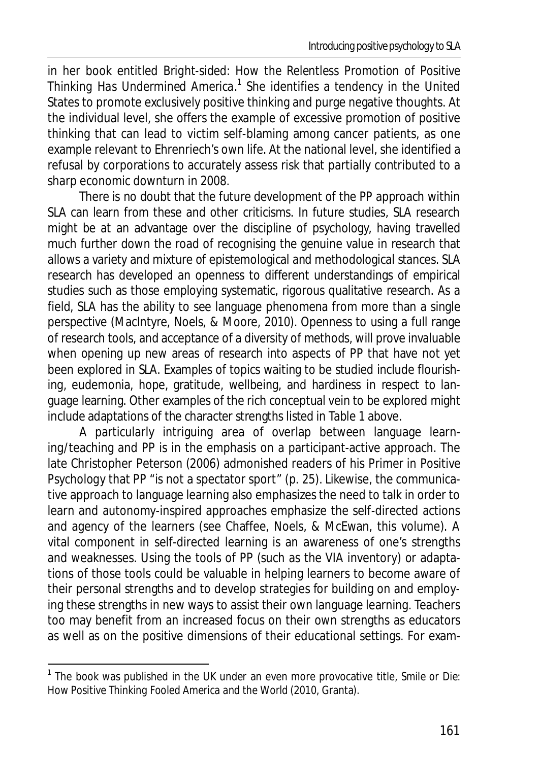in her book entitled *Bright-sided: How the Relentless Promotion of Positive Thinking Has Undermined America.*<sup>1</sup> She identifies a tendency in the United States to promote exclusively positive thinking and purge negative thoughts. At the individual level, she offers the example of excessive promotion of positive thinking that can lead to victim self-blaming among cancer patients, as one example relevant to Ehrenriech's own life. At the national level, she identified a refusal by corporations to accurately assess risk that partially contributed to a sharp economic downturn in 2008.

There is no doubt that the future development of the PP approach within SLA can learn from these and other criticisms. In future studies, SLA research might be at an advantage over the discipline of psychology, having travelled much further down the road of recognising the genuine value in research that allows a variety and mixture of epistemological and methodological stances. SLA research has developed an openness to different understandings of empirical studies such as those employing systematic, rigorous qualitative research. As a field, SLA has the ability to see language phenomena from more than a single perspective (MacIntyre, Noels, & Moore, 2010). Openness to using a full range of research tools, and acceptance of a diversity of methods, will prove invaluable when opening up new areas of research into aspects of PP that have not yet been explored in SLA. Examples of topics waiting to be studied include flourishing, eudemonia, hope, gratitude, wellbeing, and hardiness in respect to language learning. Other examples of the rich conceptual vein to be explored might include adaptations of the character strengths listed in Table 1 above.

A particularly intriguing area of overlap between language learning/teaching and PP is in the emphasis on a participant-active approach. The late Christopher Peterson (2006) admonished readers of his *Primer in Positive Psychology* that PP "is not a spectator sport" (p. 25). Likewise, the communicative approach to language learning also emphasizes the need to talk in order to learn and autonomy-inspired approaches emphasize the self-directed actions and agency of the learners (see Chaffee, Noels, & McEwan, this volume). A vital component in self-directed learning is an awareness of one's strengths and weaknesses. Using the tools of PP (such as the VIA inventory) or adaptations of those tools could be valuable in helping learners to become aware of their personal strengths and to develop strategies for building on and employing these strengths in new ways to assist their own language learning. Teachers too may benefit from an increased focus on their own strengths as educators as well as on the positive dimensions of their educational settings. For exam-

 $\overline{a}$ 

<sup>&</sup>lt;sup>1</sup> The book was published in the UK under an even more provocative title, Smile or Die: *How Positive Thinking Fooled America and the World* (2010, Granta).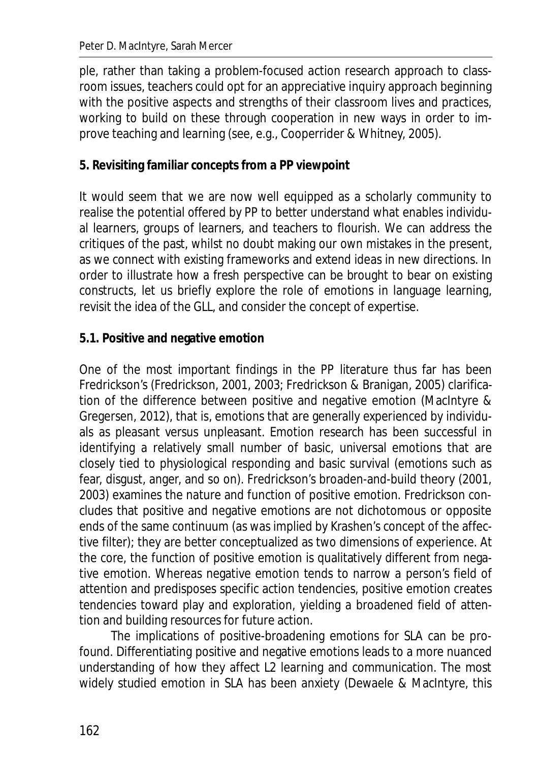ple, rather than taking a problem-focused action research approach to classroom issues, teachers could opt for an appreciative inquiry approach beginning with the positive aspects and strengths of their classroom lives and practices, working to build on these through cooperation in new ways in order to improve teaching and learning (see, e.g., Cooperrider & Whitney, 2005).

# **5. Revisiting familiar concepts from a PP viewpoint**

It would seem that we are now well equipped as a scholarly community to realise the potential offered by PP to better understand what enables individual learners, groups of learners, and teachers to flourish. We can address the critiques of the past, whilst no doubt making our own mistakes in the present, as we connect with existing frameworks and extend ideas in new directions. In order to illustrate how a fresh perspective can be brought to bear on existing constructs, let us briefly explore the role of emotions in language learning, revisit the idea of the GLL, and consider the concept of expertise.

# **5.1. Positive and negative emotion**

One of the most important findings in the PP literature thus far has been Fredrickson's (Fredrickson, 2001, 2003; Fredrickson & Branigan, 2005) clarification of the difference between positive and negative emotion (MacIntyre & Gregersen, 2012), that is, emotions that are generally experienced by individuals as pleasant versus unpleasant. Emotion research has been successful in identifying a relatively small number of basic, universal emotions that are closely tied to physiological responding and basic survival (emotions such as fear, disgust, anger, and so on). Fredrickson's broaden-and-build theory (2001, 2003) examines the nature and function of positive emotion. Fredrickson concludes that positive and negative emotions are not dichotomous or opposite ends of the same continuum (as was implied by Krashen's concept of the affective filter); they are better conceptualized as two dimensions of experience. At the core, the function of positive emotion is qualitatively different from negative emotion. Whereas negative emotion tends to narrow a person's field of attention and predisposes specific action tendencies, positive emotion creates tendencies toward play and exploration, yielding a broadened field of attention and building resources for future action.

The implications of positive-broadening emotions for SLA can be profound. Differentiating positive and negative emotions leads to a more nuanced understanding of how they affect L2 learning and communication. The most widely studied emotion in SLA has been anxiety (Dewaele & MacIntyre, this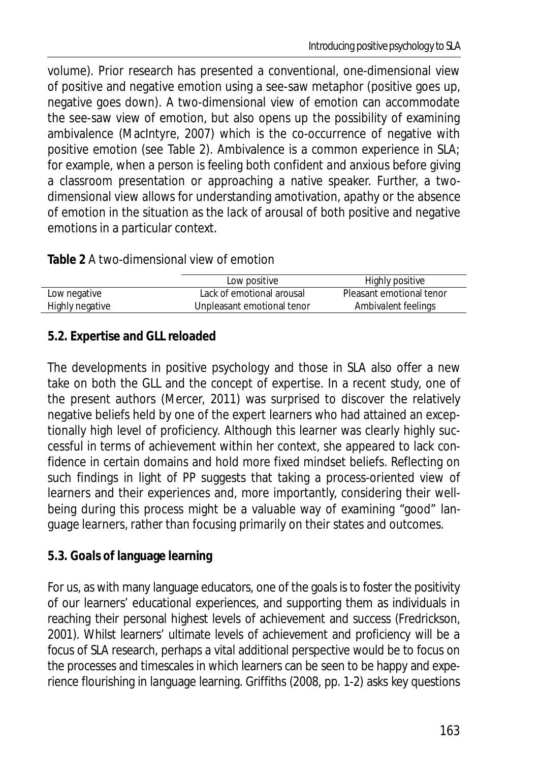volume). Prior research has presented a conventional, one-dimensional view of positive and negative emotion using a see-saw metaphor (positive goes up, negative goes down). A two-dimensional view of emotion can accommodate the see-saw view of emotion, but also opens up the possibility of examining ambivalence (MacIntyre, 2007) which is the co-occurrence of negative with positive emotion (see Table 2). Ambivalence is a common experience in SLA; for example, when a person is feeling both confident *and* anxious before giving a classroom presentation or approaching a native speaker. Further, a twodimensional view allows for understanding amotivation, apathy or the absence of emotion in the situation as the lack of arousal of both positive and negative emotions in a particular context.

#### **Table 2** A two-dimensional view of emotion

|                 | Low positive               | Highly positive          |
|-----------------|----------------------------|--------------------------|
| Low negative    | Lack of emotional arousal  | Pleasant emotional tenor |
| Highly negative | Unpleasant emotional tenor | Ambivalent feelings      |

# **5.2. Expertise and GLL reloaded**

The developments in positive psychology and those in SLA also offer a new take on both the GLL and the concept of expertise. In a recent study, one of the present authors (Mercer, 2011) was surprised to discover the relatively negative beliefs held by one of the expert learners who had attained an exceptionally high level of proficiency. Although this learner was clearly highly successful in terms of achievement within her context, she appeared to lack confidence in certain domains and hold more fixed mindset beliefs. Reflecting on such findings in light of PP suggests that taking a process-oriented view of learners and their experiences and, more importantly, considering their wellbeing during this process might be a valuable way of examining "good" language learners, rather than focusing primarily on their states and outcomes.

# **5.3. Goals of language learning**

For us, as with many language educators, one of the goals is to foster the positivity of our learners' educational experiences, and supporting them as individuals in reaching their personal highest levels of achievement and success (Fredrickson, 2001). Whilst learners' ultimate levels of achievement and proficiency will be a focus of SLA research, perhaps a vital additional perspective would be to focus on the processes and timescales in which learners can be seen to be happy and experience flourishing in language learning. Griffiths (2008, pp. 1-2) asks key questions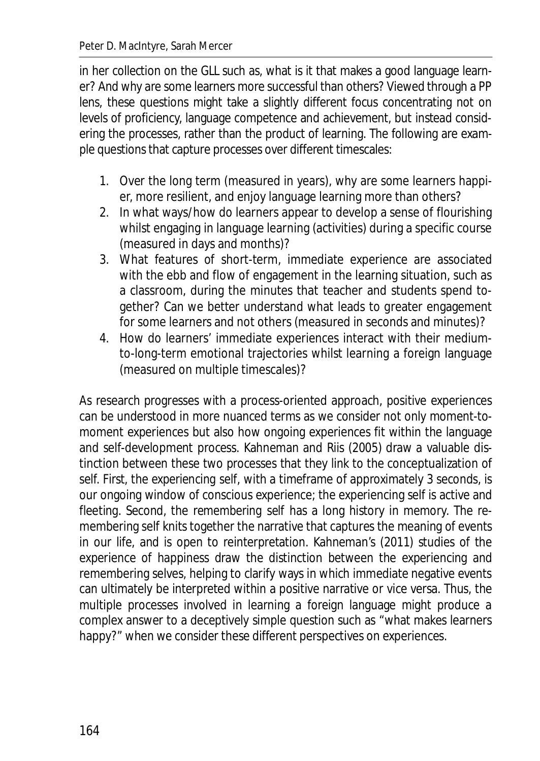in her collection on the GLL such as, what is it that makes a good language learner? And why are some learners more successful than others? Viewed through a PP lens, these questions might take a slightly different focus concentrating not on levels of proficiency, language competence and achievement, but instead considering the processes, rather than the product of learning. The following are example questions that capture processes over different timescales:

- 1. Over the long term (measured in years), why are some learners happier, more resilient, and enjoy language learning more than others?
- 2. In what ways/how do learners appear to develop a sense of flourishing whilst engaging in language learning (activities) during a specific course (measured in days and months)?
- 3. What features of short-term, immediate experience are associated with the ebb and flow of engagement in the learning situation, such as a classroom, during the minutes that teacher and students spend together? Can we better understand what leads to greater engagement for some learners and not others (measured in seconds and minutes)?
- 4. How do learners' immediate experiences interact with their mediumto-long-term emotional trajectories whilst learning a foreign language (measured on multiple timescales)?

As research progresses with a process-oriented approach, positive experiences can be understood in more nuanced terms as we consider not only moment-tomoment experiences but also how ongoing experiences fit within the language and self-development process. Kahneman and Riis (2005) draw a valuable distinction between these two processes that they link to the conceptualization of self. First, the *experiencing self*, with a timeframe of approximately 3 seconds, is our ongoing window of conscious experience; the experiencing self is active and fleeting. Second, the *remembering self* has a long history in memory. The remembering self knits together the narrative that captures the meaning of events in our life, and is open to reinterpretation. Kahneman's (2011) studies of the experience of happiness draw the distinction between the experiencing and remembering selves, helping to clarify ways in which immediate negative events can ultimately be interpreted within a positive narrative or vice versa. Thus, the multiple processes involved in learning a foreign language might produce a complex answer to a deceptively simple question such as "what makes learners happy?" when we consider these different perspectives on experiences.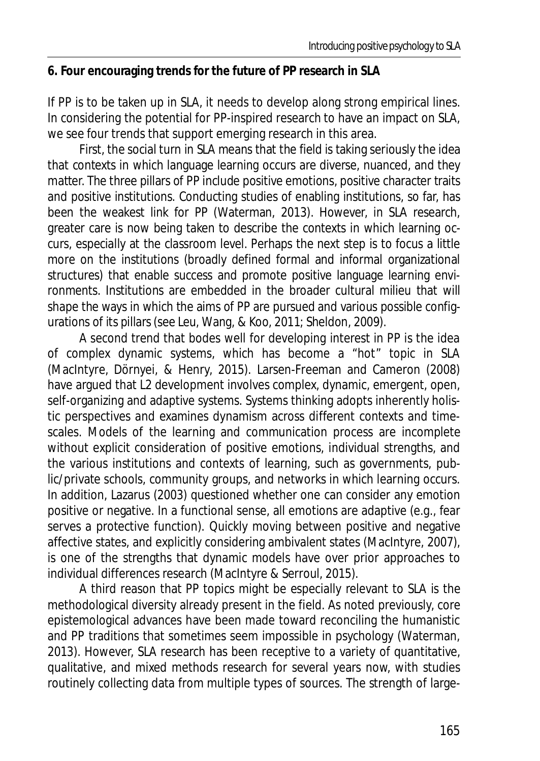#### **6. Four encouraging trends for the future of PP research in SLA**

If PP is to be taken up in SLA, it needs to develop along strong empirical lines. In considering the potential for PP-inspired research to have an impact on SLA, we see four trends that support emerging research in this area.

First, the social turn in SLA means that the field is taking seriously the idea that contexts in which language learning occurs are diverse, nuanced, and they matter. The three pillars of PP include positive emotions, positive character traits and positive institutions. Conducting studies of enabling institutions, so far, has been the weakest link for PP (Waterman, 2013). However, in SLA research, greater care is now being taken to describe the contexts in which learning occurs, especially at the classroom level. Perhaps the next step is to focus a little more on the institutions (broadly defined formal and informal organizational structures) that enable success and promote positive language learning environments. Institutions are embedded in the broader cultural milieu that will shape the ways in which the aims of PP are pursued and various possible configurations of its pillars (see Leu, Wang, & Koo, 2011; Sheldon, 2009).

A second trend that bodes well for developing interest in PP is the idea of complex dynamic systems, which has become a "hot" topic in SLA (MacIntyre, Dörnyei, & Henry, 2015). Larsen-Freeman and Cameron (2008) have argued that L2 development involves complex, dynamic, emergent, open, self-organizing and adaptive systems. Systems thinking adopts inherently holistic perspectives and examines dynamism across different contexts and timescales. Models of the learning and communication process are incomplete without explicit consideration of positive emotions, individual strengths, and the various institutions and contexts of learning, such as governments, public/private schools, community groups, and networks in which learning occurs. In addition, Lazarus (2003) questioned whether one can consider any emotion positive or negative. In a functional sense, all emotions are adaptive (e.g., fear serves a protective function). Quickly moving between positive and negative affective states, and explicitly considering ambivalent states (MacIntyre, 2007), is one of the strengths that dynamic models have over prior approaches to individual differences research (MacIntyre & Serroul, 2015).

A third reason that PP topics might be especially relevant to SLA is the methodological diversity already present in the field. As noted previously, core epistemological advances have been made toward reconciling the humanistic and PP traditions that sometimes seem impossible in psychology (Waterman, 2013). However, SLA research has been receptive to a variety of quantitative, qualitative, and mixed methods research for several years now, with studies routinely collecting data from multiple types of sources. The strength of large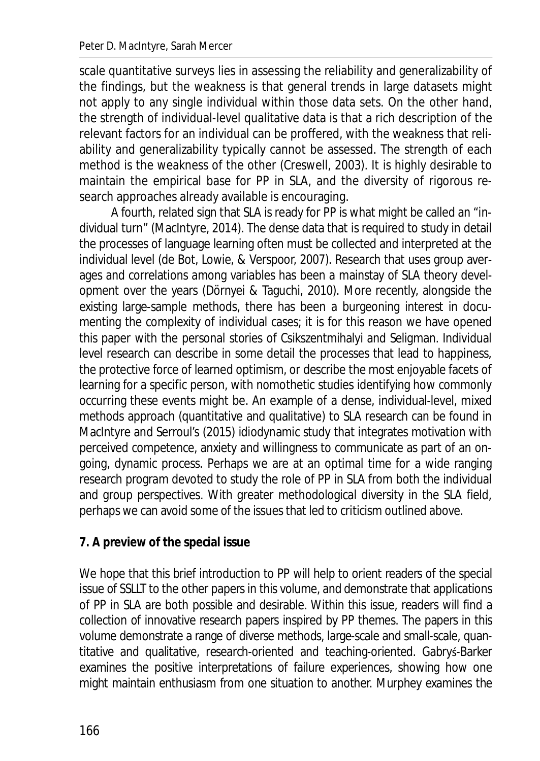scale quantitative surveys lies in assessing the reliability and generalizability of the findings, but the weakness is that general trends in large datasets might not apply to any single individual within those data sets. On the other hand, the strength of individual-level qualitative data is that a rich description of the relevant factors for an individual can be proffered, with the weakness that reliability and generalizability typically cannot be assessed. The strength of each method is the weakness of the other (Creswell, 2003). It is highly desirable to maintain the empirical base for PP in SLA, and the diversity of rigorous research approaches already available is encouraging.

A fourth, related sign that SLA is ready for PP is what might be called an "individual turn" (MacIntyre, 2014). The dense data that is required to study in detail the processes of language learning often must be collected and interpreted at the individual level (de Bot, Lowie, & Verspoor, 2007). Research that uses group averages and correlations among variables has been a mainstay of SLA theory development over the years (Dörnyei & Taguchi, 2010). More recently, alongside the existing large-sample methods, there has been a burgeoning interest in documenting the complexity of individual cases; it is for this reason we have opened this paper with the personal stories of Csikszentmihalyi and Seligman. Individual level research can describe in some detail the processes that lead to happiness, the protective force of learned optimism, or describe the most enjoyable facets of learning for a specific person, with nomothetic studies identifying how commonly occurring these events might be. An example of a dense, individual-level, mixed methods approach (quantitative and qualitative) to SLA research can be found in MacIntyre and Serroul's (2015) idiodynamic study that integrates motivation with perceived competence, anxiety and willingness to communicate as part of an ongoing, dynamic process. Perhaps we are at an optimal time for a wide ranging research program devoted to study the role of PP in SLA from both the individual and group perspectives. With greater methodological diversity in the SLA field, perhaps we can avoid some of the issues that led to criticism outlined above.

## **7. A preview of the special issue**

We hope that this brief introduction to PP will help to orient readers of the special issue of *SSLLT* to the other papers in this volume, and demonstrate that applications of PP in SLA are both possible and desirable. Within this issue, readers will find a collection of innovative research papers inspired by PP themes. The papers in this volume demonstrate a range of diverse methods, large-scale and small-scale, quantitative and qualitative, research-oriented and teaching-oriented. Gabrys-Barker examines the positive interpretations of failure experiences, showing how one might maintain enthusiasm from one situation to another. Murphey examines the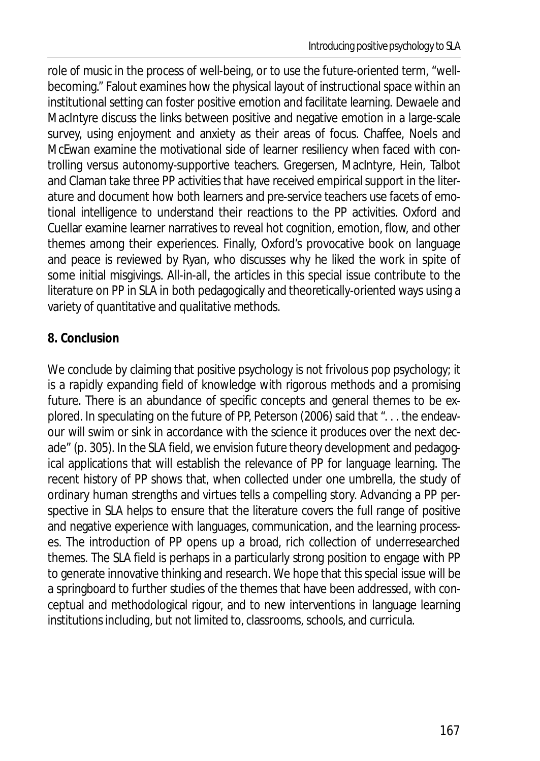role of music in the process of well-being, or to use the future-oriented term, "wellbecoming." Falout examines how the physical layout of instructional space within an institutional setting can foster positive emotion and facilitate learning. Dewaele and MacIntyre discuss the links between positive and negative emotion in a large-scale survey, using enjoyment and anxiety as their areas of focus. Chaffee, Noels and McEwan examine the motivational side of learner resiliency when faced with controlling versus autonomy-supportive teachers. Gregersen, MacIntyre, Hein, Talbot and Claman take three PP activities that have received empirical support in the literature and document how both learners and pre-service teachers use facets of emotional intelligence to understand their reactions to the PP activities. Oxford and Cuellar examine learner narratives to reveal hot cognition, emotion, flow, and other themes among their experiences. Finally, Oxford's provocative book on language and peace is reviewed by Ryan, who discusses why he liked the work in spite of some initial misgivings. All-in-all, the articles in this special issue contribute to the literature on PP in SLA in both pedagogically and theoretically-oriented ways using a variety of quantitative and qualitative methods.

# **8. Conclusion**

We conclude by claiming that positive psychology is *not* frivolous pop psychology; it is a rapidly expanding field of knowledge with rigorous methods and a promising future. There is an abundance of specific concepts and general themes to be explored. In speculating on the future of PP, Peterson (2006) said that ". . . the endeavour will swim or sink in accordance with the science it produces over the next decade" (p. 305). In the SLA field, we envision future theory development and pedagogical applications that will establish the relevance of PP for language learning. The recent history of PP shows that, when collected under one umbrella, the study of ordinary human strengths and virtues tells a compelling story. Advancing a PP perspective in SLA helps to ensure that the literature covers the full range of positive and negative experience with languages, communication, and the learning processes. The introduction of PP opens up a broad, rich collection of underresearched themes. The SLA field is perhaps in a particularly strong position to engage with PP to generate innovative thinking and research. We hope that this special issue will be a springboard to further studies of the themes that have been addressed, with conceptual and methodological rigour, and to new interventions in language learning institutions including, but not limited to, classrooms, schools, and curricula.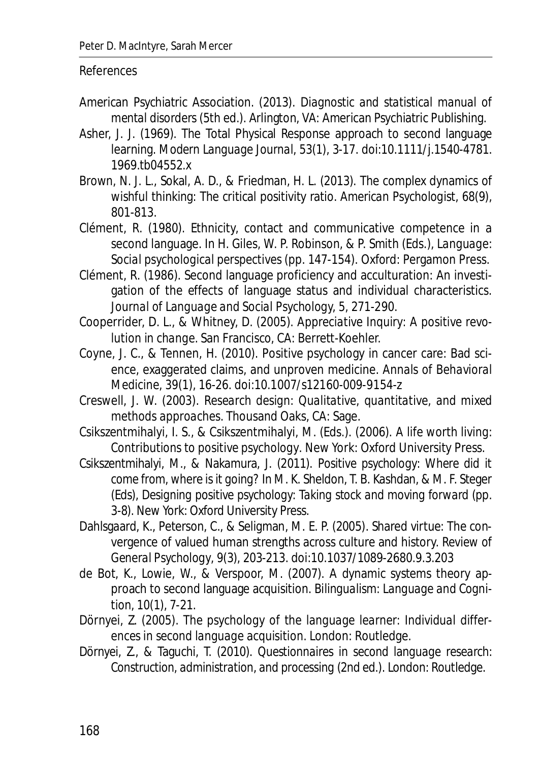#### References

- American Psychiatric Association. (2013). *Diagnostic and statistical manual of mental disorders* (5th ed.). Arlington, VA: American Psychiatric Publishing.
- Asher, J. J. (1969). The Total Physical Response approach to second language learning. *Modern Language Journal*, *53*(1), 3-17. doi:10.1111/j.1540-4781. 1969.tb04552.x
- Brown, N. J. L., Sokal, A. D., & Friedman, H. L. (2013). The complex dynamics of wishful thinking: The critical positivity ratio. *American Psychologist*, *68*(9), 801-813.
- Clément, R. (1980). Ethnicity, contact and communicative competence in a second language. In H. Giles, W. P. Robinson, & P. Smith (Eds.), *Language: Social psychological perspectives* (pp. 147-154). Oxford: Pergamon Press.
- Clément, R. (1986). Second language proficiency and acculturation: An investigation of the effects of language status and individual characteristics*. Journal of Language and Social Psychology, 5,* 271-290.
- Cooperrider, D. L., & Whitney, D. (2005). *Appreciative Inquiry: A positive revolution in change*. San Francisco, CA: Berrett-Koehler.
- Coyne, J. C., & Tennen, H. (2010). Positive psychology in cancer care: Bad science, exaggerated claims, and unproven medicine. *Annals of Behavioral Medicine*, *39*(1), 16-26. doi:10.1007/s12160-009-9154-z
- Creswell, J. W. (2003). *Research design: Qualitative, quantitative, and mixed methods approaches.* Thousand Oaks, CA: Sage.
- Csikszentmihalyi, I. S., & Csikszentmihalyi, M. (Eds.). (2006). *A life worth living: Contributions to positive psychology*. New York: Oxford University Press.
- Csikszentmihalyi, M., & Nakamura, J. (2011). *Positive psychology: Where did it come from, where is it going?* In M. K. Sheldon, T. B. Kashdan, & M. F. Steger (Eds), *Designing positive psychology: Taking stock and moving forward* (pp. 3-8). New York: Oxford University Press.
- Dahlsgaard, K., Peterson, C., & Seligman, M. E. P. (2005). Shared virtue: The convergence of valued human strengths across culture and history. *Review of General Psychology*, *9*(3), 203-213. doi:10.1037/1089-2680.9.3.203
- de Bot, K., Lowie, W., & Verspoor, M. (2007). A dynamic systems theory approach to second language acquisition. *Bilingualism: Language and Cognition, 10*(1), 7-21.
- Dörnyei, Z. (2005). *The psychology of the language learner: Individual differences in second language acquisition.* London: Routledge.
- Dörnyei, Z., & Taguchi, T. (2010). *Questionnaires in second language research: Construction, administration, and processing* (2nd ed.). London: Routledge.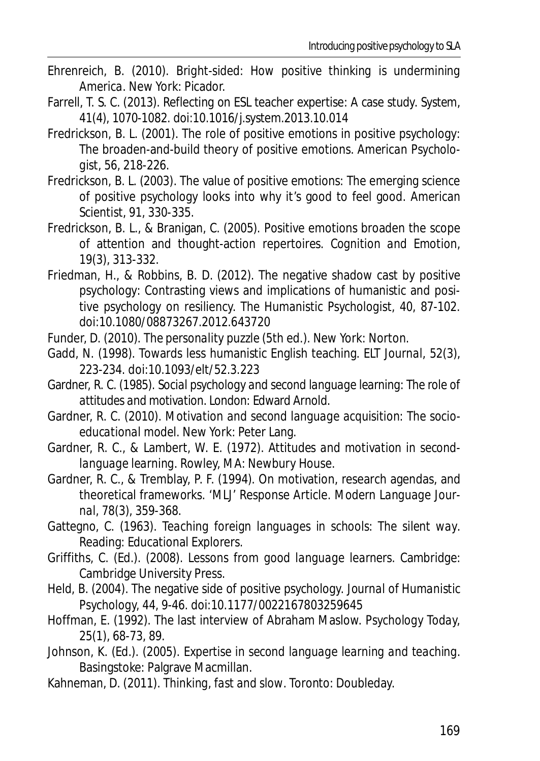- Ehrenreich, B. (2010). *Bright-sided: How positive thinking is undermining America*. New York: Picador.
- Farrell, T. S. C. (2013). Reflecting on ESL teacher expertise: A case study. *System*, *41*(4), 1070-1082. doi:10.1016/j.system.2013.10.014
- Fredrickson, B. L. (2001). The role of positive emotions in positive psychology: The broaden-and-build theory of positive emotions. *American Psychologist*, *56*, 218-226.
- Fredrickson, B. L. (2003). The value of positive emotions: The emerging science of positive psychology looks into why it's good to feel good. *American Scientist*, *91*, 330-335.
- Fredrickson, B. L., & Branigan, C. (2005). Positive emotions broaden the scope of attention and thought-action repertoires. *Cognition and Emotion*, *19*(3), 313-332.
- Friedman, H., & Robbins, B. D. (2012). The negative shadow cast by positive psychology: Contrasting views and implications of humanistic and positive psychology on resiliency. *The Humanistic Psychologist, 40*, 87-102. doi:10.1080/08873267.2012.643720
- Funder, D. (2010). *The personality puzzle* (5th ed.). New York: Norton.
- Gadd, N. (1998). Towards less humanistic English teaching. *ELT Journal*, *52*(3), 223-234. doi:10.1093/elt/52.3.223
- Gardner, R. C. (1985). *Social psychology and second language learning: The role of attitudes and motivation*. London: Edward Arnold.
- Gardner, R. C. (2010). *Motivation and second language acquisition: The socioeducational model*. New York: Peter Lang.
- Gardner, R. C., & Lambert, W. E. (1972). *Attitudes and motivation in secondlanguage learning*. Rowley, MA: Newbury House.
- Gardner, R. C., & Tremblay, P. F. (1994). On motivation, research agendas, and theoretical frameworks. 'MLJ' Response Article. *Modern Language Journal*, *78*(3), 359-368.
- Gattegno, C. (1963). *Teaching foreign languages in schools: The silent way*. Reading: Educational Explorers.
- Griffiths, C. (Ed.). (2008). *Lessons from good language learners*. Cambridge: Cambridge University Press.
- Held, B. (2004). The negative side of positive psychology. *Journal of Humanistic Psychology, 44,* 9-46. doi:10.1177/0022167803259645
- Hoffman, E. (1992). The last interview of Abraham Maslow. *Psychology Today, 25*(1), 68-73, 89.
- Johnson, K. (Ed.). (2005). *Expertise in second language learning and teaching*. Basingstoke: Palgrave Macmillan.
- Kahneman, D. (2011). *Thinking, fast and slow*. Toronto: Doubleday.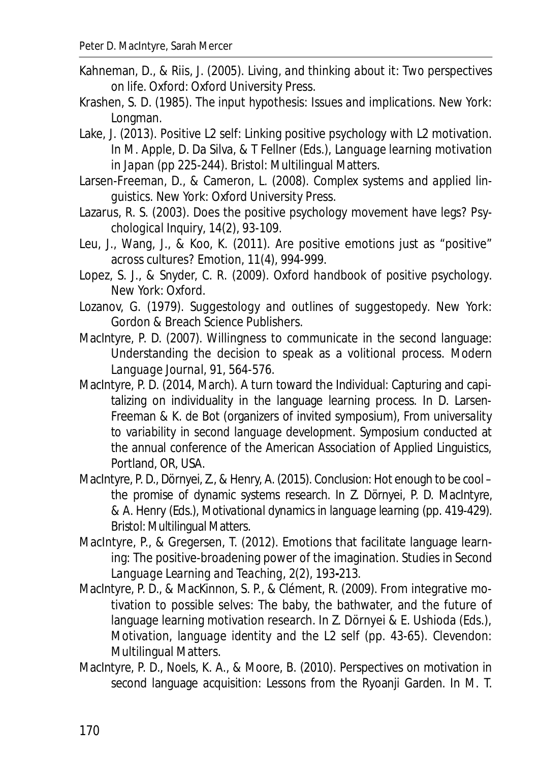- Kahneman, D., & Riis, J. (2005). *Living, and thinking about it: Two perspectives on life*. Oxford: Oxford University Press.
- Krashen, S. D. (1985). *The input hypothesis: Issues and implications*. New York: Longman.
- Lake, J. (2013). Positive L2 self: Linking positive psychology with L2 motivation. In M. Apple, D. Da Silva, & T Fellner (Eds.), *Language learning motivation in Japan* (pp 225-244). Bristol: Multilingual Matters.
- Larsen-Freeman, D., & Cameron, L. (2008). *Complex systems and applied linguistics*. New York: Oxford University Press.
- Lazarus, R. S. (2003). Does the positive psychology movement have legs? *Psychological Inquiry*, *14*(2), 93-109.
- Leu, J., Wang, J., & Koo, K. (2011). Are positive emotions just as "positive" across cultures? *Emotion, 11*(4), 994-999.
- Lopez, S. J., & Snyder, C. R. (2009). *Oxford handbook of positive psychology*. New York: Oxford.
- Lozanov, G. (1979). *Suggestology and outlines of suggestopedy*. New York: Gordon & Breach Science Publishers.
- MacIntyre, P. D. (2007). Willingness to communicate in the second language: Understanding the decision to speak as a volitional process. *Modern Language Journal, 91*, 564-576.
- MacIntyre, P. D. (2014, March). A turn toward the Individual: Capturing and capitalizing on individuality in the language learning process. In D. Larsen-Freeman & K. de Bot (organizers of invited symposium), *From universality to variability in second language development*. Symposium conducted at the annual conference of the American Association of Applied Linguistics, Portland, OR, USA.
- MacIntyre, P. D., Dörnyei, Z., & Henry, A. (2015). Conclusion: Hot enough to be cool the promise of dynamic systems research. In Z. Dörnyei, P. D. MacIntyre, & A. Henry (Eds.), *Motivational dynamics in language learning* (pp. 419-429). Bristol: Multilingual Matters.
- MacIntyre, P., & Gregersen, T. (2012). Emotions that facilitate language learning: The positive-broadening power of the imagination. *Studies in Second Language Learning and Teaching*, *2*(2), 193**-**213.
- MacIntyre, P. D., & MacKinnon, S. P., & Clément, R. (2009). From integrative motivation to possible selves: The baby, the bathwater, and the future of language learning motivation research. In Z. Dörnyei & E. Ushioda (Eds.), *Motivation, language identity and the L2 self* (pp. 43-65). Clevendon: Multilingual Matters.
- MacIntyre, P. D., Noels, K. A., & Moore, B. (2010). Perspectives on motivation in second language acquisition: Lessons from the Ryoanji Garden. In M. T.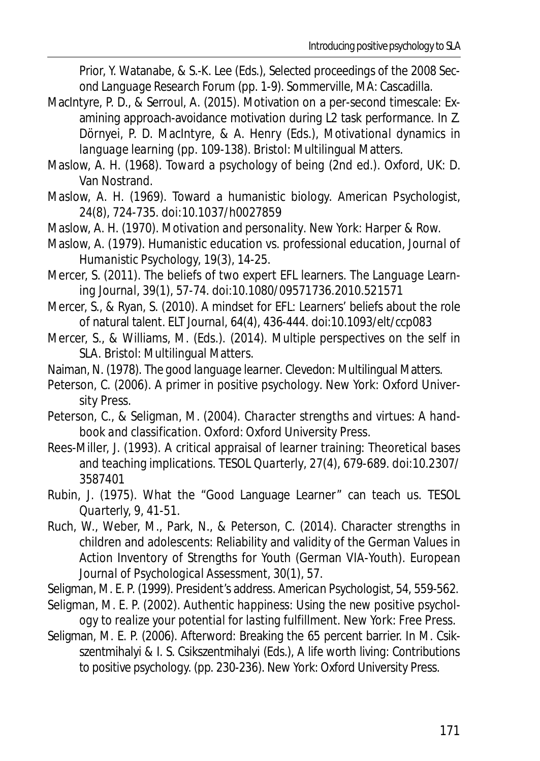Prior, Y. Watanabe, & S.-K. Lee (Eds.), *Selected proceedings of the 2008 Second Language Research Forum* (pp. 1-9). Sommerville, MA: Cascadilla.

- MacIntyre, P. D., & Serroul, A. (2015). Motivation on a per-second timescale: Examining approach-avoidance motivation during L2 task performance. In Z. Dörnyei, P. D. MacIntyre, & A. Henry (Eds.), *Motivational dynamics in language learning* (pp. 109-138). Bristol: Multilingual Matters.
- Maslow, A. H. (1968). *Toward a psychology of being* (2nd ed.). Oxford, UK: D. Van Nostrand.
- Maslow, A. H. (1969). Toward a humanistic biology. *American Psychologist*, *24*(8), 724-735. doi:10.1037/h0027859
- Maslow, A. H. (1970). *Motivation and personality*. New York: Harper & Row.
- Maslow, A. (1979). Humanistic education vs. professional education, *Journal of Humanistic Psychology, 19*(3), 14-25.
- Mercer, S. (2011). The beliefs of two expert EFL learners. *The Language Learning Journal*, *39*(1), 57-74. doi:10.1080/09571736.2010.521571
- Mercer, S., & Ryan, S. (2010). A mindset for EFL: Learners' beliefs about the role of natural talent. *ELT Journal*, *64*(4), 436-444. doi:10.1093/elt/ccp083
- Mercer, S., & Williams, M. (Eds.). (2014). *Multiple perspectives on the self in SLA*. Bristol: Multilingual Matters.
- Naiman, N. (1978). *The good language learner*. Clevedon: Multilingual Matters.
- Peterson, C. (2006). *A primer in positive psychology*. New York: Oxford University Press.
- Peterson, C., & Seligman, M. (2004). *Character strengths and virtues: A handbook and classification.* Oxford: Oxford University Press.
- Rees-Miller, J. (1993). A critical appraisal of learner training: Theoretical bases and teaching implications. *TESOL Quarterly*, *27*(4), 679-689. doi:10.2307/ 3587401
- Rubin, J. (1975). What the "Good Language Learner" can teach us. *TESOL Quarterly, 9*, 41-51.
- Ruch, W., Weber, M., Park, N., & Peterson, C. (2014). Character strengths in children and adolescents: Reliability and validity of the German Values in Action Inventory of Strengths for Youth (German VIA-Youth). *European Journal of Psychological Assessment*, *30*(1), 57.
- Seligman, M. E. P. (1999). President's address. *American Psychologist, 54*, 559-562.
- Seligman, M. E. P. (2002). *Authentic happiness: Using the new positive psychology to realize your potential for lasting fulfillment*. New York: Free Press.
- Seligman, M. E. P. (2006). Afterword: Breaking the 65 percent barrier. In M. Csikszentmihalyi & I. S. Csikszentmihalyi (Eds.), *A life worth living: Contributions to positive psychology.* (pp. 230-236). New York: Oxford University Press.